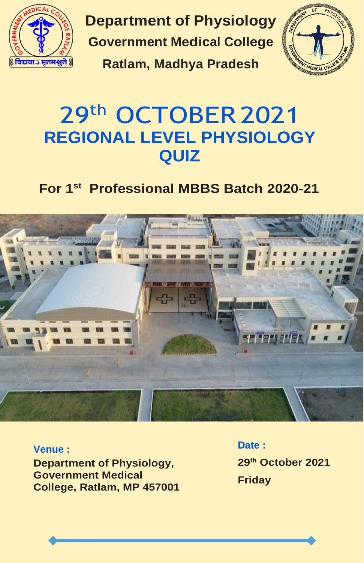

**Department of Physiology Government Medical College**

**Ratlam, Madhya Pradesh**



## 29th OCTOBER 2021 **REGIONAL LEVEL PHYSIOLOGY QUIZ**

### **For 1st Professional MBBS Batch 2020-21**



### **Venue :**

**Department of Physiology, Government Medical College, Ratlam, MP 457001** **Date : 29th October 2021 Friday**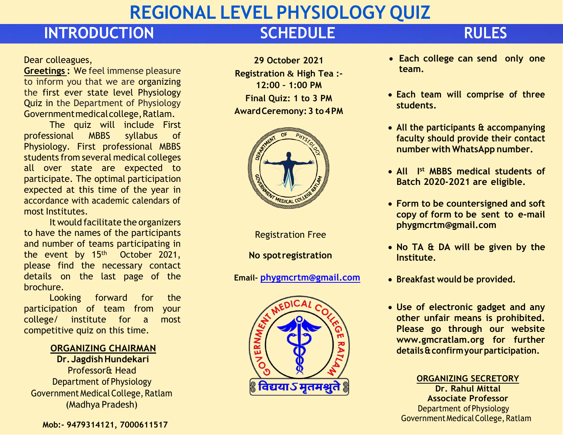# **REGIONAL LEVEL PHYSIOLOGY QUIZ**

## **INTRODUCTION SCHEDULE RULES**

### Dear colleagues,

**Greetings :** We feel immense pleasure to inform you that we are organizing the first ever state level Physiology Quiz in the Department of Physiology Governmentmedicalcollege,Ratlam.

The quiz will include First professional MBBS syllabus of Physiology. First professional MBBS students from several medical colleges all over state are expected to participate. The optimal participation expected at this time of the year in accordance with academic calendars of most Institutes.

It would facilitate the organizers to have the names of the participants and number of teams participating in the event by 15<sup>th</sup> October 2021, please find the necessary contact details on the last page of the brochure.

Looking forward for the participation of team from your college/ institute for a most competitive quiz on this time.

### **ORGANIZING CHAIRMAN**

**Dr. JagdishHundekari**  Professor& Head Department of Physiology Government MedicalCollege, Ratlam (Madhya Pradesh)

**29 October 2021 Registration & High Tea :- 12:00 – 1:00 PM Final Quiz: 1 to 3 PM AwardCeremony:3 to4PM**



Registration Free

**No spotregistration**

**Email- [phygmcrtm@gmail.com](mailto:phygmcrtm@gmail.com)**



- **Each college can send only one team.**
- **Each team will comprise of three students.**
- **All the participants & accompanying faculty should provide their contact number** with **WhatsApp** number.
- **All I st MBBS medical students of Batch 2020-2021 are eligible.**
- **Form to be countersigned and soft copy of form to be sent to e-mail [phygmcrtm@gmail.com](mailto:phygmcrtm@gmail.com)**
- **No TA & DA will be given by the Institute.**
- **Breakfast would be provided.**
- **Use of electronic gadget and any other unfair means is prohibited. Please go through our website [www.gmcratlam.org f](http://www.gmcratlam.org/)or further details&confirmyourparticipation.**

**ORGANIZING SECRETORY Dr. Rahul Mittal Associate Professor** Department ofPhysiology Government Medical College, Ratlam